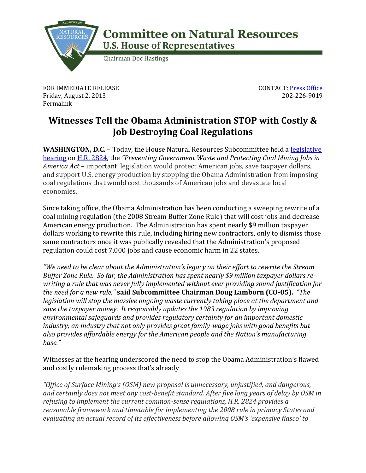

## **Committee on Natural Resources U.S. House of Representatives**

**Chairman Doc Hastings** 

FOR IMMEDIATE RELEASE Friday, August 2, 2013 Permalink

CONTACT: [Press Office](http://naturalresources.house.gov/contact/media.htm) 202-226-9019

## **Witnesses Tell the Obama Administration STOP with Costly & Job Destroying Coal Regulations**

**WASHINGTON, D.C.** – Today, the House Natural Resources Subcommittee held a **legislative** [hearing](http://naturalresources.house.gov/calendar/eventsingle.aspx?EventID=343986) on [H.R. 2824,](http://thomas.loc.gov/home/gpoxmlc113/h2824_ih.xml) the *"Preventing Government Waste and Protecting Coal Mining Jobs in America Act –* important legislation would protect American jobs, save taxpayer dollars, and support U.S. energy production by stopping the Obama Administration from imposing coal regulations that would cost thousands of American jobs and devastate local economies.

Since taking office, the Obama Administration has been conducting a sweeping rewrite of a coal mining regulation (the 2008 Stream Buffer Zone Rule) that will cost jobs and decrease American energy production. The Administration has spent nearly \$9 million taxpayer dollars working to rewrite this rule, including hiring new contractors, only to dismiss those same contractors once it was publically revealed that the Administration's proposed regulation could cost 7,000 jobs and cause economic harm in 22 states.

*"We need to be clear about the Administration's legacy on their effort to rewrite the Stream Buffer Zone Rule. So far, the Administration has spent nearly \$9 million taxpayer dollars rewriting a rule that was never fully implemented without ever providing sound justification for the need for a new rule,"* **said Subcommittee Chairman Doug Lamborn (CO-05).** *"The legislation will stop the massive ongoing waste currently taking place at the department and save the taxpayer money. It responsibly updates the 1983 regulation by improving environmental safeguards and provides regulatory certainty for an important domestic industry; an industry that not only provides great family-wage jobs with good benefits but also provides affordable energy for the American people and the Nation's manufacturing base."*

Witnesses at the hearing underscored the need to stop the Obama Administration's flawed and costly rulemaking process that's already

*"Office of Surface Mining's (OSM) new proposal is unnecessary, unjustified, and dangerous, and certainly does not meet any cost-benefit standard. After five long years of delay by OSM in refusing to implement the current common-sense regulations, H.R. 2824 provides a reasonable framework and timetable for implementing the 2008 rule in primacy States and evaluating an actual record of its effectiveness before allowing OSM's 'expensive fiasco' to*